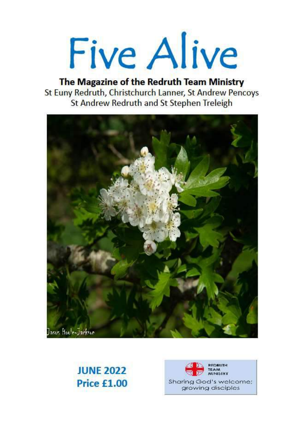Five Alive

The Magazine of the Redruth Team Ministry St Euny Redruth, Christchurch Lanner, St Andrew Pencoys **St Andrew Redruth and St Stephen Treleigh** 



# **JUNE 2022** Price £1.00

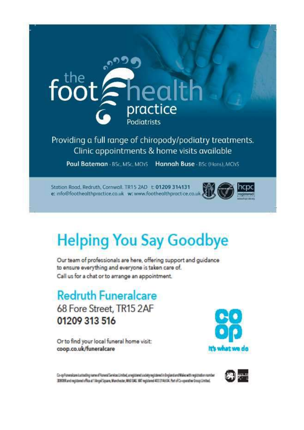

Providing a full range of chiropody/podiatry treatments. Clinic appointments & home visits available

Paul Bateman - BSc, MSc, MChS Hannah Buse - BSc (Hons), MChS

Station Road, Redruth, Cornwall, TR15 2AD t: 01209 314131 e: info@foothealthpractice.co.uk w: www.foothealthpractice.co.uk



# **Helping You Say Goodbye**

Our team of professionals are here, offering support and guidance to ensure everything and everyone is taken care of. Call us for a chat or to arrange an appointment.

**Redruth Funeralcare** 68 Fore Street, TR15 2AF 01209 313 516

Or to find your local funeral home visit: coop.co.uk/funeralcare



Co-opForwroldere is attacking name of Forwrolder visual Limited, are gistered society registered in England and Wales with registration nomber 3000Rand registered office at 1 Angel Square, Manchester, M60 DAG. VAT registered 433314604. Fact of Co-operative Group Limited.

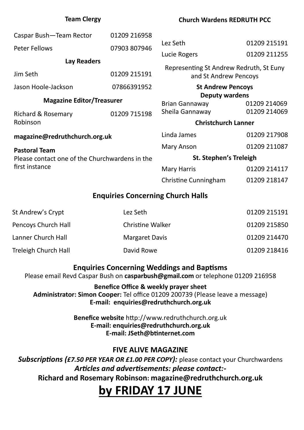| <b>Team Clergy</b>                                                     |              | <b>Church Wardens REDRUTH PCC</b>       |              |  |  |
|------------------------------------------------------------------------|--------------|-----------------------------------------|--------------|--|--|
| Caspar Bush-Team Rector                                                | 01209 216958 |                                         |              |  |  |
| <b>Peter Fellows</b>                                                   | 07903 807946 | Lez Seth                                | 01209 215191 |  |  |
|                                                                        |              | Lucie Rogers                            | 01209 211255 |  |  |
| <b>Lay Readers</b>                                                     |              | Representing St Andrew Redruth, St Euny |              |  |  |
| Jim Seth                                                               | 01209 215191 | and St Andrew Pencoys                   |              |  |  |
| Jason Hoole-Jackson                                                    | 07866391952  | <b>St Andrew Pencoys</b>                |              |  |  |
| <b>Magazine Editor/Treasurer</b>                                       |              | <b>Deputy wardens</b>                   |              |  |  |
|                                                                        |              | Brian Gannaway                          | 01209 214069 |  |  |
| Richard & Rosemary                                                     | 01209 715198 | Sheila Gannaway                         | 01209 214069 |  |  |
| Robinson                                                               |              | <b>Christchurch Lanner</b>              |              |  |  |
| magazine@redruthchurch.org.uk                                          |              | Linda James                             | 01209 217908 |  |  |
| <b>Pastoral Team</b><br>Please contact one of the Churchwardens in the |              | <b>Mary Anson</b>                       | 01209 211087 |  |  |
|                                                                        |              | <b>St. Stephen's Treleigh</b>           |              |  |  |
| first instance                                                         |              | <b>Mary Harris</b>                      | 01209 214117 |  |  |
|                                                                        |              | <b>Christine Cunningham</b>             | 01209 218147 |  |  |
| <b>Enquiries Concerning Church Halls</b>                               |              |                                         |              |  |  |

| St Andrew's Crypt          | Lez Seth                | 01209 215191 |
|----------------------------|-------------------------|--------------|
| <b>Pencoys Church Hall</b> | <b>Christine Walker</b> | 01209 215850 |
| Lanner Church Hall         | <b>Margaret Davis</b>   | 01209 214470 |
| Treleigh Church Hall       | David Rowe              | 01209 218416 |

### **Enquiries Concerning Weddings and Baptisms**

Please email Revd Caspar Bush on **casparbush@gmail.com** or telephone 01209 216958

**Benefice Office & weekly prayer sheet Administrator: Simon Cooper:** Tel office 01209 200739 (Please leave a message) **E-mail: enquiries@redruthchurch.org.uk**

> **Benefice website** http://www.redruthchurch.org.uk **E-mail: enquiries@redruthchurch.org.uk E-mail: JSeth@btinternet.com**

# **FIVE ALIVE MAGAZINE**

*Subscriptions (£7.50 PER YEAR OR £1.00 PER COPY):* please contact your Churchwardens *Articles and advertisements: please contact:-* **Richard and Rosemary Robinson: magazine@redruthchurch.org.uk**

# **by FRIDAY 17 JUNE**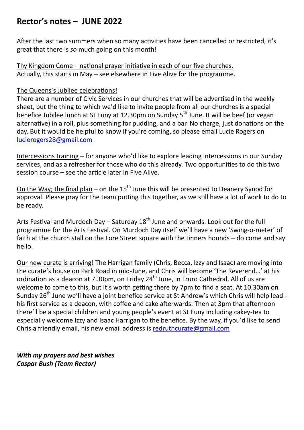# **Rector's notes – JUNE 2022**

After the last two summers when so many activities have been cancelled or restricted, it's great that there is *so* much going on this month!

Thy Kingdom Come – national prayer initiative in each of our five churches. Actually, this starts in May – see elsewhere in Five Alive for the programme.

#### The Queens's Jubilee celebrations!

There are a number of Civic Services in our churches that will be advertised in the weekly sheet, but the thing to which we'd like to invite people from all our churches is a special benefice Jubilee lunch at St Euny at 12.30pm on Sunday 5<sup>th</sup> June. It will be beef (or vegan alternative) in a roll, plus something for pudding, and a bar. No charge, just donations on the day. But it would be helpful to know if you're coming, so please email Lucie Rogers on [lucierogers28@gmail.com](mailto:lucierogers28@gmail.com)

Intercessions training – for anyone who'd like to explore leading intercessions in our Sunday services, and as a refresher for those who do this already. Two opportunities to do this two session course – see the article later in Five Alive.

On the Way; the final plan – on the  $15<sup>th</sup>$  June this will be presented to Deanery Synod for approval. Please pray for the team putting this together, as we still have a lot of work to do to be ready.

Arts Festival and Murdoch Day – Saturday  $18<sup>th</sup>$  June and onwards. Look out for the full programme for the Arts Festival. On Murdoch Day itself we'll have a new 'Swing-o-meter' of faith at the church stall on the Fore Street square with the tinners hounds – do come and say hello.

Our new curate is arriving! The Harrigan family (Chris, Becca, Izzy and Isaac) are moving into the curate's house on Park Road in mid-June, and Chris will become 'The Reverend…' at his ordination as a deacon at 7.30pm, on Friday 24<sup>th</sup> June, in Truro Cathedral. All of us are welcome to come to this, but it's worth getting there by 7pm to find a seat. At 10.30am on Sunday 26<sup>th</sup> June we'll have a joint benefice service at St Andrew's which Chris will help lead his first service as a deacon, with coffee and cake afterwards. Then at 3pm that afternoon there'll be a special children and young people's event at St Euny including cakey-tea to especially welcome Izzy and Isaac Harrigan to the benefice. By the way, if you'd like to send Chris a friendly email, his new email address is [redruthcurate@gmail.com](mailto:redruthcurate@gmail.com)

*With my prayers and best wishes Caspar Bush (Team Rector)*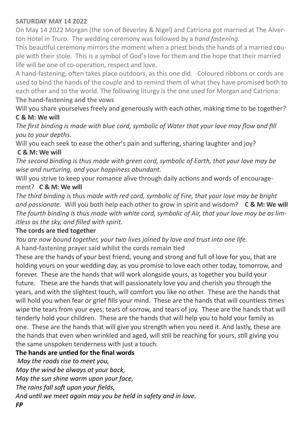#### **SATURDAY MAY 14 2022**

On May 14 2022 Morgan (the son of Beverley & Nigel) and Catriona got married at The Alverton Hotel in Truro. The wedding ceremony was followed by a *hand fastening*.

This beautiful ceremony mirrors the moment when a priest binds the hands of a married couple with their stole. This is a symbol of God's love for them and the hope that their married life will be one of co-operation, respect and love.

A hand-fastening, often takes place outdoors, as this one did. Coloured ribbons or cords are used to bind the hands of the couple and to remind them of what they have promised both to each other and to the world. The following liturgy is the one used for Morgan and Catriona: **The hand-fastening and the vows** 

Will you share yourselves freely and generously with each other, making time to be together? **C & M: We will** 

*The first binding is made with blue cord, symbolic of Water that your love may flow and fill you to your depths.* 

Will you each seek to ease the other's pain and suffering, sharing laughter and joy?

#### **C & M: We will**

*The second binding is thus made with green cord, symbolic of Earth, that your love may be wise and nurturing, and your happiness abundant.* 

Will you strive to keep your romance alive through daily actions and words of encouragement? **C & M: We will** 

*The third binding is thus made with red cord, symbolic of Fire, that your love may be bright and passionate.* Will you both help each other to grow in spirit and wisdom? **C & M: We will**  *The fourth binding is thus made with white cord, symbolic of Air, that your love may be as limitless as the sky, and filled with spirit.* 

#### **The cords are tied together**

*You are now bound together, your two lives joined by love and trust into one life.* **A hand-fastening prayer said whilst the cords remain tied** 

These are the hands of your best friend, young and strong and full of love for you, that are holding yours on your wedding day, as you promise to love each other today, tomorrow, and forever. These are the hands that will work alongside yours, as together you build your future. These are the hands that will passionately love you and cherish you through the years, and with the slightest touch, will comfort you like no other. These are the hands that will hold you when fear or grief fills your mind. These are the hands that will countless times wipe the tears from your eyes; tears of sorrow, and tears of joy. These are the hands that will tenderly hold your children. These are the hands that will help you to hold your family as one. These are the hands that will give you strength when you need it. And lastly, these are the hands that even when wrinkled and aged, will still be reaching for yours, still giving you the same unspoken tenderness with just a touch.

### **The hands are untied for the final words**

*May the roads rise to meet you,* 

*May the wind be always at your back,* 

*May the sun shine warm upon your face,* 

*The rains fall soft upon your fields,* 

*And until we meet again may you be held in safety and in love.*

*FP*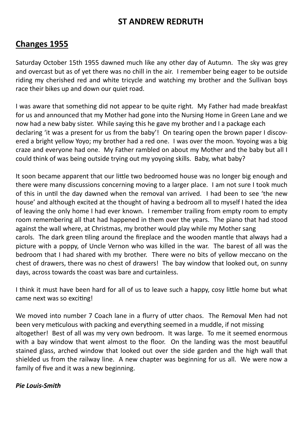# **ST ANDREW REDRUTH**

# **Changes 1955**

Saturday October 15th 1955 dawned much like any other day of Autumn. The sky was grey and overcast but as of yet there was no chill in the air. I remember being eager to be outside riding my cherished red and white tricycle and watching my brother and the Sullivan boys race their bikes up and down our quiet road.

I was aware that something did not appear to be quite right. My Father had made breakfast for us and announced that my Mother had gone into the Nursing Home in Green Lane and we now had a new baby sister. While saying this he gave my brother and I a package each declaring 'it was a present for us from the baby'! On tearing open the brown paper I discovered a bright yellow Yoyo; my brother had a red one. I was over the moon. Yoyoing was a big craze and everyone had one. My Father rambled on about my Mother and the baby but all I could think of was being outside trying out my yoyoing skills. Baby, what baby?

It soon became apparent that our little two bedroomed house was no longer big enough and there were many discussions concerning moving to a larger place. I am not sure I took much of this in until the day dawned when the removal van arrived. I had been to see 'the new house' and although excited at the thought of having a bedroom all to myself I hated the idea of leaving the only home I had ever known. I remember trailing from empty room to empty room remembering all that had happened in them over the years. The piano that had stood against the wall where, at Christmas, my brother would play while my Mother sang carols. The dark green tiling around the fireplace and the wooden mantle that always had a picture with a poppy, of Uncle Vernon who was killed in the war. The barest of all was the bedroom that I had shared with my brother. There were no bits of yellow meccano on the chest of drawers, there was no chest of drawers! The bay window that looked out, on sunny days, across towards the coast was bare and curtainless.

I think it must have been hard for all of us to leave such a happy, cosy little home but what came next was so exciting!

We moved into number 7 Coach lane in a flurry of utter chaos. The Removal Men had not been very meticulous with packing and everything seemed in a muddle, if not missing altogether! Best of all was my very own bedroom. It was large. To me it seemed enormous with a bay window that went almost to the floor. On the landing was the most beautiful stained glass, arched window that looked out over the side garden and the high wall that shielded us from the railway line. A new chapter was beginning for us all. We were now a family of five and it was a new beginning.

#### *Pie Louis-Smith*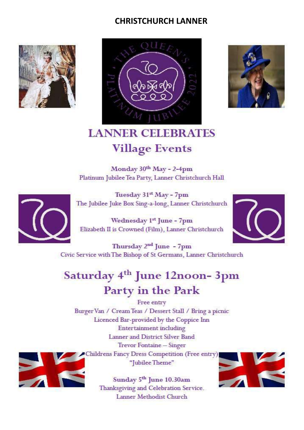# **CHRISTCHURCH LANNER**







# **LANNER CELEBRATES Village Events**

Monday 30th May - 2-4pm Platinum Jubilee Tea Party, Lanner Christchurch Hall



Tuesday 31<sup>st</sup> May - 7pm The Jubilee Juke Box Sing-a-long, Lanner Christchurch

Wednesday 1<sup>st</sup> June - 7pm Elizabeth II is Crowned (Film), Lanner Christchurch



Thursday 2<sup>nd</sup> June - 7pm Civic Service with The Bishop of St Germans, Lanner Christchurch

# Saturday 4<sup>th</sup> June 12noon-3pm Party in the Park

Free entry Burger Van / Cream Teas / Dessert Stall / Bring a picnic Licenced Bar-provided by the Coppice Inn **Entertainment** including Lanner and District Silver Band Trevor Fontaine - Singer Childrens Fancy Dress Competition (Free entry) "Jubilee Theme"



Sunday 5<sup>th</sup> June 10.30am Thanksgiving and Celebration Service. Lanner Methodist Church

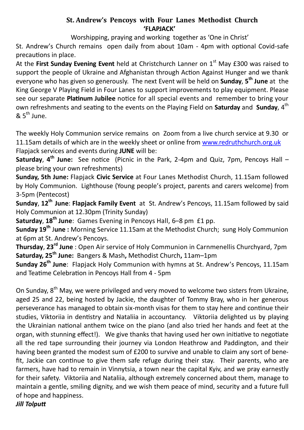#### **St. Andrew's Pencoys with Four Lanes Methodist Church 'FLAPJACK'**

Worshipping, praying and working together as 'One in Christ'

St. Andrew's Church remains open daily from about 10am - 4pm with optional Covid-safe precautions in place.

At the First Sunday Evening Event held at Christchurch Lanner on 1<sup>st</sup> May £300 was raised to support the people of Ukraine and Afghanistan through Action Against Hunger and we thank everyone who has given so generously. The next Event will be held on **Sunday**, **5 th June** at the King George V Playing Field in Four Lanes to support improvements to play equipment. Please see our separate **Platinum Jubilee** notice for all special events and remember to bring your own refreshments and seating to the events on the Playing Field on **Saturday** and **Sunday**, 4<sup>th</sup>  $8.5<sup>th</sup>$  June.

The weekly Holy Communion service remains on Zoom from a live church service at 9.30 or 11.15am details of which are in the weekly sheet or online from [www.redruthchurch.org.uk](http://www.redruthchurch.org.uk) Flapjack services and events during **JUNE** will be:

**Saturday**, **4 th June:** See notice (Picnic in the Park, 2-4pm and Quiz, 7pm, Pencoys Hall – please bring your own refreshments)

**Sunday, 5th June:** Flapjack **Civic Service** at Four Lanes Methodist Church, 11.15am followed by Holy Communion. Lighthouse (Young people's project, parents and carers welcome) from 3-5pm (Pentecost)

**Sunday**, **12th June**: **Flapjack Family Event** at St. Andrew's Pencoys, 11.15am followed by said Holy Communion at 12.30pm (Trinity Sunday)

**Saturday**, **18th June**: Games Evening in Pencoys Hall, 6–8 pm £1 pp.

**Sunday 19th** J**une :** Morning Service 11.15am at the Methodist Church; sung Holy Communion at 6pm at St. Andrew's Pencoys.

**Thursday**, **23rd June** : Open Air service of Holy Communion in Carnmenellis Churchyard, 7pm **Saturday, 25th June:** Bangers & Mash**,** Methodist Church**,** 11am–1pm

**Sunday 26th June**: Flapjack Holy Communion with hymns at St. Andrew's Pencoys, 11.15am and Teatime Celebration in Pencoys Hall from 4 - 5pm

On Sunday, 8<sup>th</sup> May, we were privileged and very moved to welcome two sisters from Ukraine, aged 25 and 22, being hosted by Jackie, the daughter of Tommy Bray, who in her generous perseverance has managed to obtain six-month visas for them to stay here and continue their studies, Viktoriia in dentistry and Nataliia in accountancy. Viktoriia delighted us by playing the Ukrainian national anthem twice on the piano (and also tried her hands and feet at the organ, with stunning effect!). We give thanks that having used her own initiative to negotiate all the red tape surrounding their journey via London Heathrow and Paddington, and their having been granted the modest sum of £200 to survive and unable to claim any sort of benefit, Jackie can continue to give them safe refuge during their stay. Their parents, who are farmers, have had to remain in Vinnytsia, a town near the capital Kyiv, and we pray earnestly for their safety. Viktoriia and Nataliia, although extremely concerned about them, manage to maintain a gentle, smiling dignity, and we wish them peace of mind, security and a future full of hope and happiness.

*Jill Tolputt*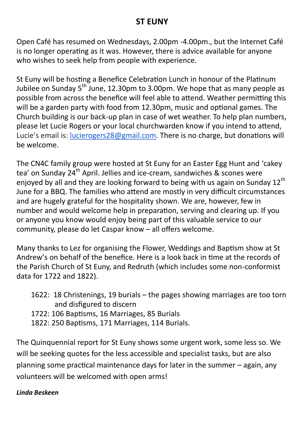# **ST EUNY**

Open Café has resumed on Wednesdays, 2.00pm -4.00pm., but the Internet Café is no longer operating as it was. However, there is advice available for anyone who wishes to seek help from people with experience.

St Euny will be hosting a Benefice Celebration Lunch in honour of the Platinum Jubilee on Sunday  $5^{th}$  June, 12.30pm to 3.00pm. We hope that as many people as possible from across the benefice will feel able to attend. Weather permitting this will be a garden party with food from 12.30pm, music and optional games. The Church building is our back-up plan in case of wet weather. To help plan numbers, please let Lucie Rogers or your local churchwarden know if you intend to attend, Lucie's email is: [lucierogers28@gmail.com.](mailto:lucierogers28@gmail.com) There is no charge, but donations will be welcome.

The CN4C family group were hosted at St Euny for an Easter Egg Hunt and 'cakey tea' on Sunday 24<sup>th</sup> April. Jellies and ice-cream, sandwiches & scones were enjoyed by all and they are looking forward to being with us again on Sunday  $12^{th}$ June for a BBQ. The families who attend are mostly in very difficult circumstances and are hugely grateful for the hospitality shown. We are, however, few in number and would welcome help in preparation, serving and clearing up. If you or anyone you know would enjoy being part of this valuable service to our community, please do let Caspar know – all offers welcome.

Many thanks to Lez for organising the Flower, Weddings and Baptism show at St Andrew's on behalf of the benefice. Here is a look back in time at the records of the Parish Church of St Euny, and Redruth (which includes some non-conformist data for 1722 and 1822).

- 1622: 18 Christenings, 19 burials the pages showing marriages are too torn and disfigured to discern
- 1722: 106 Baptisms, 16 Marriages, 85 Burials
- 1822: 250 Baptisms, 171 Marriages, 114 Burials.

The Quinquennial report for St Euny shows some urgent work, some less so. We will be seeking quotes for the less accessible and specialist tasks, but are also planning some practical maintenance days for later in the summer – again, any volunteers will be welcomed with open arms!

## *Linda Beskeen*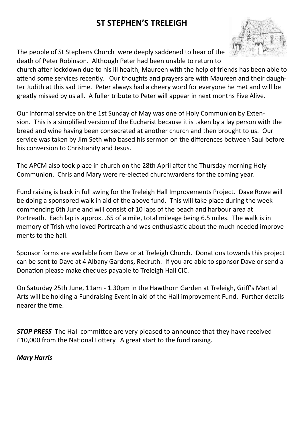# **ST STEPHEN'S TRELEIGH**

The people of St Stephens Church were deeply saddened to hear of the death of Peter Robinson. Although Peter had been unable to return to



church after lockdown due to his ill health, Maureen with the help of friends has been able to attend some services recently. Our thoughts and prayers are with Maureen and their daughter Judith at this sad time. Peter always had a cheery word for everyone he met and will be greatly missed by us all. A fuller tribute to Peter will appear in next months Five Alive.

Our Informal service on the 1st Sunday of May was one of Holy Communion by Extension. This is a simplified version of the Eucharist because it is taken by a lay person with the bread and wine having been consecrated at another church and then brought to us. Our service was taken by Jim Seth who based his sermon on the differences between Saul before his conversion to Christianity and Jesus.

The APCM also took place in church on the 28th April after the Thursday morning Holy Communion. Chris and Mary were re-elected churchwardens for the coming year.

Fund raising is back in full swing for the Treleigh Hall Improvements Project. Dave Rowe will be doing a sponsored walk in aid of the above fund. This will take place during the week commencing 6th June and will consist of 10 laps of the beach and harbour area at Portreath. Each lap is approx. .65 of a mile, total mileage being 6.5 miles. The walk is in memory of Trish who loved Portreath and was enthusiastic about the much needed improvements to the hall.

Sponsor forms are available from Dave or at Treleigh Church. Donations towards this project can be sent to Dave at 4 Albany Gardens, Redruth. If you are able to sponsor Dave or send a Donation please make cheques payable to Treleigh Hall CIC.

On Saturday 25th June, 11am - 1.30pm in the Hawthorn Garden at Treleigh, Griff's Martial Arts will be holding a Fundraising Event in aid of the Hall improvement Fund. Further details nearer the time.

**STOP PRESS** The Hall committee are very pleased to announce that they have received £10,000 from the National Lottery. A great start to the fund raising.

#### *Mary Harris*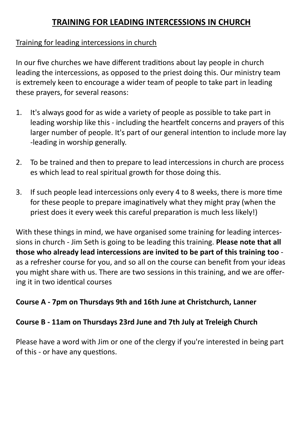# **TRAINING FOR LEADING INTERCESSIONS IN CHURCH**

# Training for leading intercessions in church

In our five churches we have different traditions about lay people in church leading the intercessions, as opposed to the priest doing this. Our ministry team is extremely keen to encourage a wider team of people to take part in leading these prayers, for several reasons:

- 1. It's always good for as wide a variety of people as possible to take part in leading worship like this - including the heartfelt concerns and prayers of this larger number of people. It's part of our general intention to include more lay -leading in worship generally.
- 2. To be trained and then to prepare to lead intercessions in church are process es which lead to real spiritual growth for those doing this.
- 3. If such people lead intercessions only every 4 to 8 weeks, there is more time for these people to prepare imaginatively what they might pray (when the priest does it every week this careful preparation is much less likely!)

With these things in mind, we have organised some training for leading intercessions in church - Jim Seth is going to be leading this training. **Please note that all those who already lead intercessions are invited to be part of this training too** as a refresher course for you, and so all on the course can benefit from your ideas you might share with us. There are two sessions in this training, and we are offering it in two identical courses

# **Course A - 7pm on Thursdays 9th and 16th June at Christchurch, Lanner**

# **Course B - 11am on Thursdays 23rd June and 7th July at Treleigh Church**

Please have a word with Jim or one of the clergy if you're interested in being part of this - or have any questions.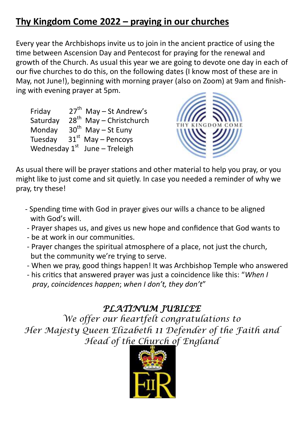# **Thy Kingdom Come 2022 – praying in our churches**

Every year the Archbishops invite us to join in the ancient practice of using the time between Ascension Day and Pentecost for praying for the renewal and growth of the Church. As usual this year we are going to devote one day in each of our five churches to do this, on the following dates (I know most of these are in May, not June!), beginning with morning prayer (also on Zoom) at 9am and finishing with evening prayer at 5pm.

Fridav  $27<sup>th</sup>$  May – St Andrew's Saturday  $28<sup>th</sup>$  May – Christchurch Monday  $30<sup>th</sup>$  May – St Euny Tuesday  $31<sup>st</sup>$  May – Pencoys Wednesday 1<sup>st</sup> June – Treleigh



As usual there will be prayer stations and other material to help you pray, or you might like to just come and sit quietly. In case you needed a reminder of why we pray, try these!

- Spending time with God in prayer gives our wills a chance to be aligned with God's will.
- Prayer shapes us, and gives us new hope and confidence that God wants to
- be at work in our communities.
- Prayer changes the spiritual atmosphere of a place, not just the church, but the community we're trying to serve.
- When we pray, good things happen! It was Archbishop Temple who answered
- his critics that answered prayer was just a coincidence like this: "*When I pray*, *coincidences happen*; *when I don't, they don't*"

# *PLATINUM JUBILEE*

*We offer our heartfelt congratulations to Her Majesty Queen Elizabeth 11 Defender of the Faith and Head of the Church of England*

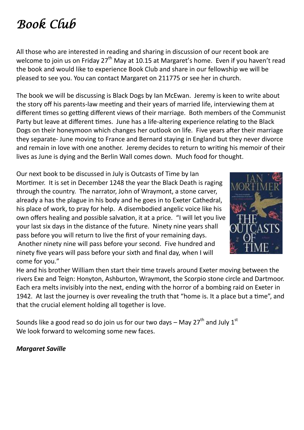# *Book Club*

All those who are interested in reading and sharing in discussion of our recent book are welcome to join us on Friday 27<sup>th</sup> May at 10.15 at Margaret's home. Even if you haven't read the book and would like to experience Book Club and share in our fellowship we will be pleased to see you. You can contact Margaret on 211775 or see her in church.

The book we will be discussing is Black Dogs by Ian McEwan. Jeremy is keen to write about the story off his parents-law meeting and their years of married life, interviewing them at different times so getting different views of their marriage. Both members of the Communist Party but leave at different times. June has a life-altering experience relating to the Black Dogs on their honeymoon which changes her outlook on life. Five years after their marriage they separate- June moving to France and Bernard staying in England but they never divorce and remain in love with one another. Jeremy decides to return to writing his memoir of their lives as June is dying and the Berlin Wall comes down. Much food for thought.

Our next book to be discussed in July is Outcasts of Time by Ian Mortimer. It is set in December 1248 the year the Black Death is raging through the country. The narrator, John of Wraymont, a stone carver, already a has the plague in his body and he goes in to Exeter Cathedral, his place of work, to pray for help. A disembodied angelic voice like his own offers healing and possible salvation, it at a price. "I will let you live your last six days in the distance of the future. Ninety nine years shall pass before you will return to live the first of your remaining days. Another ninety nine will pass before your second. Five hundred and ninety five years will pass before your sixth and final day, when I will come for you."



He and his brother William then start their time travels around Exeter moving between the rivers Exe and Teign: Honyton, Ashburton, Wraymont, the Scorpio stone circle and Dartmoor. Each era melts invisibly into the next, ending with the horror of a bombing raid on Exeter in 1942. At last the journey is over revealing the truth that "home is. It a place but a time", and that the crucial element holding all together is love.

Sounds like a good read so do join us for our two days – May  $27<sup>th</sup>$  and July  $1<sup>st</sup>$ We look forward to welcoming some new faces.

*Margaret Saville*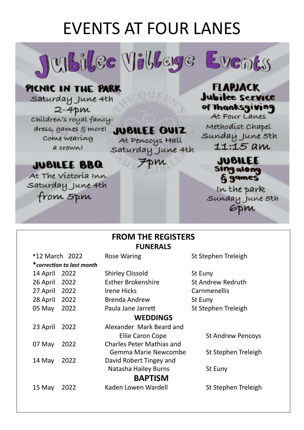# **EVENTS AT FOUR LANES**

Julbilee Villeye Events



**FLAPJACK** 

# PICNIC IN THE PARK

saturday June 4th  $2 - 4$ pm Children's royal fancydress, games  $\xi$  more! Come wearing a crown!

**JUBILEE QUIZ** At Pencoys Hall

QUEF

Saturday June 4th

FDM

**JUBILEE BBQ** 

At The victoria Inn Saturday June 4th from 5pm

## **Jubilee Service** of Thanksgiving At Four Lanes Methodist Chapel

Sunday June 5th 11:15 am

> **JUBILEE Sing along &** games

In the park Sunday June 5th **GDM** 

## **FROM THE REGISTERS FUNERALS**

| *12 March 2022            | <b>Rose Waring</b>               | St Stephen Treleigh      |  |  |  |
|---------------------------|----------------------------------|--------------------------|--|--|--|
| *correction to last month |                                  |                          |  |  |  |
| 2022<br>14 April          | <b>Shirley Clissold</b>          | St Euny                  |  |  |  |
| 2022<br>26 April          | <b>Esther Brokenshire</b>        | St Andrew Redruth        |  |  |  |
| 2022<br>27 April          | Irene Hicks                      | Carnmenellis             |  |  |  |
| 2022<br>28 April          | <b>Brenda Andrew</b>             | St Euny                  |  |  |  |
| 2022<br>05 May            | Paula Jane Jarrett               | St Stephen Treleigh      |  |  |  |
| <b>WEDDINGS</b>           |                                  |                          |  |  |  |
| 2022<br>23 April          | Alexander Mark Beard and         |                          |  |  |  |
|                           | Ellie Caron Cope                 | <b>St Andrew Pencoys</b> |  |  |  |
| 2022<br>07 May            | <b>Charles Peter Mathias and</b> |                          |  |  |  |
|                           | Gemma Marie Newcombe             | St Stephen Treleigh      |  |  |  |
| 2022<br>14 May            | David Robert Tingey and          |                          |  |  |  |
|                           | Natasha Hailey Burns             | St Euny                  |  |  |  |
| <b>BAPTISM</b>            |                                  |                          |  |  |  |
| 2022<br>15 May            | Kaden Lowen Wardell              | St Stephen Treleigh      |  |  |  |
|                           |                                  |                          |  |  |  |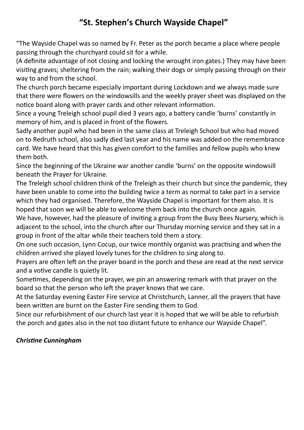# **"St. Stephen's Church Wayside Chapel"**

"The Wayside Chapel was so named by Fr. Peter as the porch became a place where people passing through the churchyard could sit for a while.

(A definite advantage of not closing and locking the wrought iron gates.) They may have been visiting graves; sheltering from the rain; walking their dogs or simply passing through on their way to and from the school.

The church porch became especially important during Lockdown and we always made sure that there were flowers on the windowsills and the weekly prayer sheet was displayed on the notice board along with prayer cards and other relevant information.

Since a young Treleigh school pupil died 3 years ago, a battery candle 'burns' constantly in memory of him, and is placed in front of the flowers.

Sadly another pupil who had been in the same class at Treleigh School but who had moved on to Redruth school, also sadly died last year and his name was added on the remembrance card. We have heard that this has given comfort to the families and fellow pupils who knew them both.

Since the beginning of the Ukraine war another candle 'burns' on the opposite windowsill beneath the Prayer for Ukraine.

The Treleigh school children think of the Treleigh as their church but since the pandemic, they have been unable to come into the building twice a term as normal to take part in a service which they had organised. Therefore, the Wayside Chapel is important for them also. It is hoped that soon we will be able to welcome them back into the church once again.

We have, however, had the pleasure of inviting a group from the Busy Bees Nursery, which is adjacent to the school, into the church after our Thursday morning service and they sat in a group in front of the altar while their teachers told them a story.

On one such occasion, Lynn Cocup, our twice monthly organist was practising and when the children arrived she played lovely tunes for the children to sing along to.

Prayers are often left on the prayer board in the porch and these are read at the next service and a votive candle is quietly lit.

Sometimes, depending on the prayer, we pin an answering remark with that prayer on the board so that the person who left the prayer knows that we care.

At the Saturday evening Easter Fire service at Christchurch, Lanner, all the prayers that have been written are burnt on the Easter Fire sending them to God.

Since our refurbishment of our church last year it is hoped that we will be able to refurbish the porch and gates also in the not too distant future to enhance our Wayside Chapel".

### *Christine Cunningham*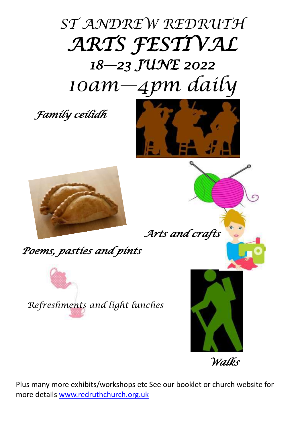

*Family ceilidh* 





*Arts and crafts* 

*Poems, pasties and pints* 



*Refreshments and light lunches*



*Walks* 

Plus many more exhibits/workshops etc See our booklet or church website for more details [www.redruthchurch.org.uk](http://www.redruthchurch.org.uk)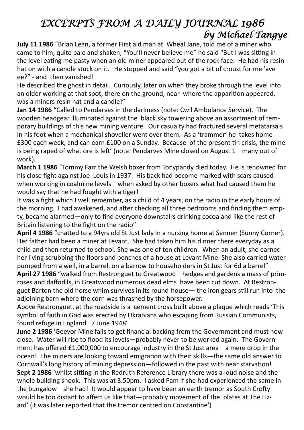# *EXCERPTS FROM A DAILY JOURNAL 1986 by Michael Tangye*

**July 11 1986** "Brian Lean, a former First aid man at Wheal Jane, told me of a miner who came to him, quite pale and shaken; "You'll never believe me" he said "But I was sitting in the level eating me pasty when an old miner appeared out of the rock face. He had his resin hat on with a candle stuck on it. He stopped and said "you got a bit of croust for me 'ave ee?" - and then vanished!

He described the ghost in detail. Curiously, later on when they broke through the level into an older working at that spot, there on the ground, near where the apparition appeared, was a miners resin hat and a candle!"

**Jan 14 1986 "**Called to Pendarves in the darkness (note: Cwll Ambulance Service). The wooden headgear illuminated against the black sky towering above an assortment of temporary buildings of this new mining venture. Our casualty had fractured several metatarsals in his foot when a mechanical shoveller went over them. As a 'trammer' he takes home £300 each week, and can earn £100 on a Sunday. Because of the present tin crisis, the mine is being raped of what ore is left' (note: Pendarves Mine closed on August 1—many out of work).

**March 1 1986** "Tommy Farr the Welsh boxer from Tonypandy died today. He is renowned for his close fight against Joe Louis in 1937. His back had become marked with scars caused when working in coalmine levels—when asked by other boxers what had caused them he would say that he had fought with a tiger!

It was a fight which I well remember, as a child of 4 years, on the radio in the early hours of the morning. I had awakened, and after checking all three bedrooms and finding them empty, became alarmed—only to find everyone downstairs drinking cocoa and like the rest of Britain listening to the fight on the radio"

**April 4 1986** "chatted to a 94yrs old St Just lady in a nursing home at Sennen (Sunny Corner). Her father had been a miner at Levant. She had taken him his dinner there everyday as a child and then returned to school. She was one of ten children. When an adult, she earned her living scrubbing the floors and benches of a house at Levant Mine. She also carried water pumped from a well, in a barrel, on a barrow to householders in St Just for 6d a barrel"

**April 27 1986** "walked from Restronguet to Greatwood—hedges and gardens a mass of primroses and daffodils, in Greatwood numerous dead elms have been cut down. At Restronguet Barton the old horse whim survives in its round-house— the iron gears still run into the adjoining barn where the corn was thrashed by the horsepower.

Above Restronguet, at the roadside is a cement cross built above a plaque which reads 'This symbol of faith in God was erected by Ukranians who escaping from Russian Communists, found refuge in England. 7 June 1948'

**June 2 1986** 'Geevor Mine fails to get financial backing from the Government and must now close. Water will rise to flood its levels—probably never to be worked again. The Government has offered £1,000,000 to encourage industry in the St Just area—a mere drop in the ocean! The miners are looking toward emigration with their skills—the same old answer to Cornwall's long history of mining depression—followed in the past with near starvation! **Sept 2 1986** 'whilst sitting in the Redruth Reference Library there was a loud noise and the whole building shook. This was at 3.50pm. I asked Pam if she had experienced the same in the bungalow—she had! It would appear to have been an earth tremor as South Crofty would be too distant to affect us like that—probably movement of the plates at The Lizard' (it was later reported that the tremor centred on Constantine')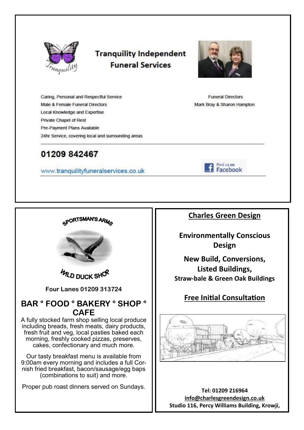

# **Tranquility Independent Funeral Services**



**Funeral Directors** 

Mark Brav & Sharon Hampton

Caring, Personal and Respectful Service Male & Female Funeral Directors Local Knowledge and Expertise Private Chapel of Rest Pre-Payment Plans Available 24hr Service, covering local and surrounding areas

# 01209 842467

www.tranquilityfuneralservices.co.uk

Find us on Facebook

GPORTSMAN'S ARMO



**WLD DUCK SHOP** 

**Four Lanes 01209 313724**

## **BAR ° FOOD ° BAKERY ° SHOP ° CAFE**

A fully stocked farm shop selling local produce including breads, fresh meats, dairy products, fresh fruit and veg, local pasties baked each morning, freshly cooked pizzas, preserves, cakes, confectionary and much more.

Our tasty breakfast menu is available from 9:00am every morning and includes a full Cornish fried breakfast, bacon/sausage/egg baps (combinations to suit) and more.

Proper pub roast dinners served on Sundays.

### **Charles Green Design**

**Environmentally Conscious Design**

**New Build, Conversions, Listed Buildings, Straw-bale & Green Oak Buildings**

# **Free Initial Consultation**



**Tel: 01209 216964 [info@charlesgreendesign.co.uk](mailto:info@charlesgreendesign.co.uk) Studio 116, Percy Williams Building, Krowji,**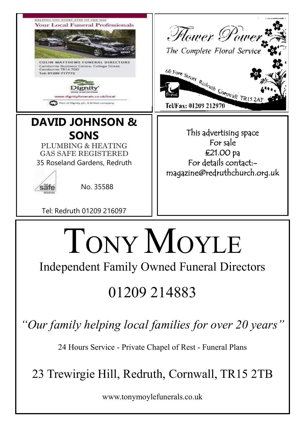

www.tonymoylefunerals.co.uk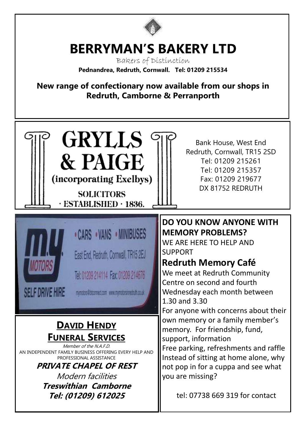

# **BERRYMAN'S BAKERY LTD**

Bakers of Distinction **Pednandrea, Redruth, Cornwall. Tel: 01209 215534**

**New range of confectionary now available from our shops in Redruth, Camborne & Perranporth**

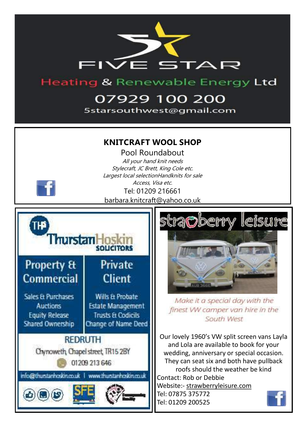

# **Heating & Renewable Energy Ltd**

# 07929 100 200

5starsouthwest@gmail.com

### **KNITCRAFT WOOL SHOP**

Pool Roundabout All your hand knit needs Stylecraft, JC Brett, King Cole etc. Largest local selectionHandknits for sale Access, Visa etc. Tel: 01209 216661 barbara.knitcraft@yahoo.co.uk







Make it a special day with the finest WV camper van hire in the South West

Our lovely 1960's VW split screen vans Layla and Lola are available to book for your wedding, anniversary or special occasion. They can seat six and both have pullback roofs should the weather be kind Contact: Rob or Debbie Website:- [strawberryleisure.com](https://strawberryleisure.com/)  Tel: 07875 375772

Tel: 01209 200525

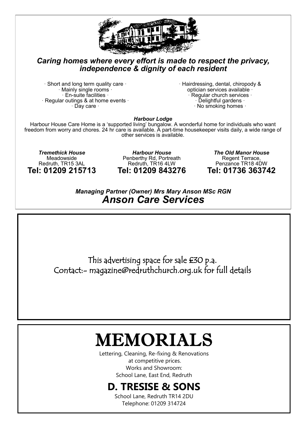

#### *Caring homes where every effort is made to respect the privacy, independence & dignity of each resident*

 $\cdot$  Short and long term quality care  $\cdot$ Mainly single rooms ·  $\cdot$  En-suite facilities  $\cdot$  $\cdot$  Regular outings & at home events  $\cdot$  $\cdot$  Day care  $\cdot$ 

 $\cdot$  Hairdressing, dental, chiropody & optician services available · · Regular church services · Delightful gardens ·  $\cdot$  No smoking homes  $\cdot$ 

*Harbour Lodge*

Harbour House Care Home is a 'supported living' bungalow. A wonderful home for individuals who want freedom from worry and chores. 24 hr care is available. A part-time housekeeper visits daily, a wide range of other services is available.

*Tremethick House* Meadowside Redruth, TR15 3AL **Tel: 01209 215713**

*Harbour House* Penberthy Rd, Portreath Redruth, TR16 4LW **Tel: 01209 843276**

*The Old Manor House* Regent Terrace, Penzance TR18 4DW **Tel: 01736 363742**

*Managing Partner (Owner) Mrs Mary Anson MSc RGN Anson Care Services*

This advertising space for sale £30 p.a. Contact:- magazine@redruthchurch.org.uk for full details

# IEMORIALS

Lettering, Cleaning, Re-fixing & Renovations at competitive prices. Works and Showroom: School Lane, East End, Redruth

# **D. TRESISE & SONS**

School Lane, Redruth TR14 2DU Telephone: 01209 314724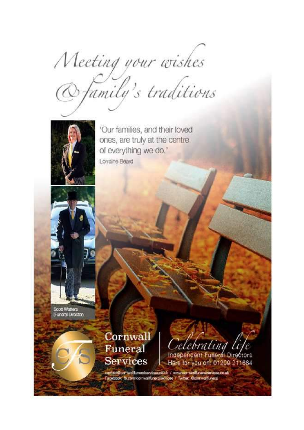Meeting your wishes<br>@family's traditions



'Our families, and their loved ones, are truly at the centre of everything we do.' Lorraine Beard

Scott Watters (Funeral Director)

> Cornwall Funeral **Services**

Celebrating life Here for you on: 01209 211684

contact@comwalfunerabervicea.co.uk / www.comwalfuneralservicea.co.uk<br>Facebook: ib.com/comwalfuneralservicea / Twitter: @comwalfuneral